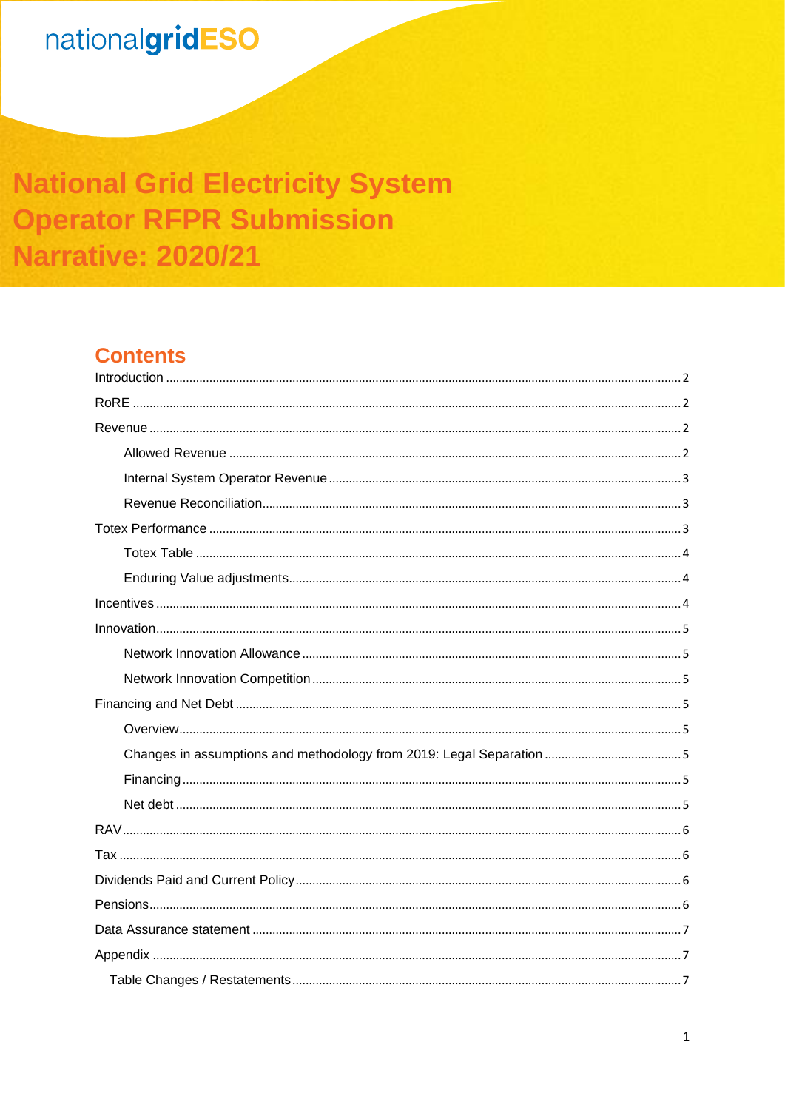# nationalgridESO

# **National Grid Electricity System Operator RFPR Submission Narrative: 2020/21**

# **Contents**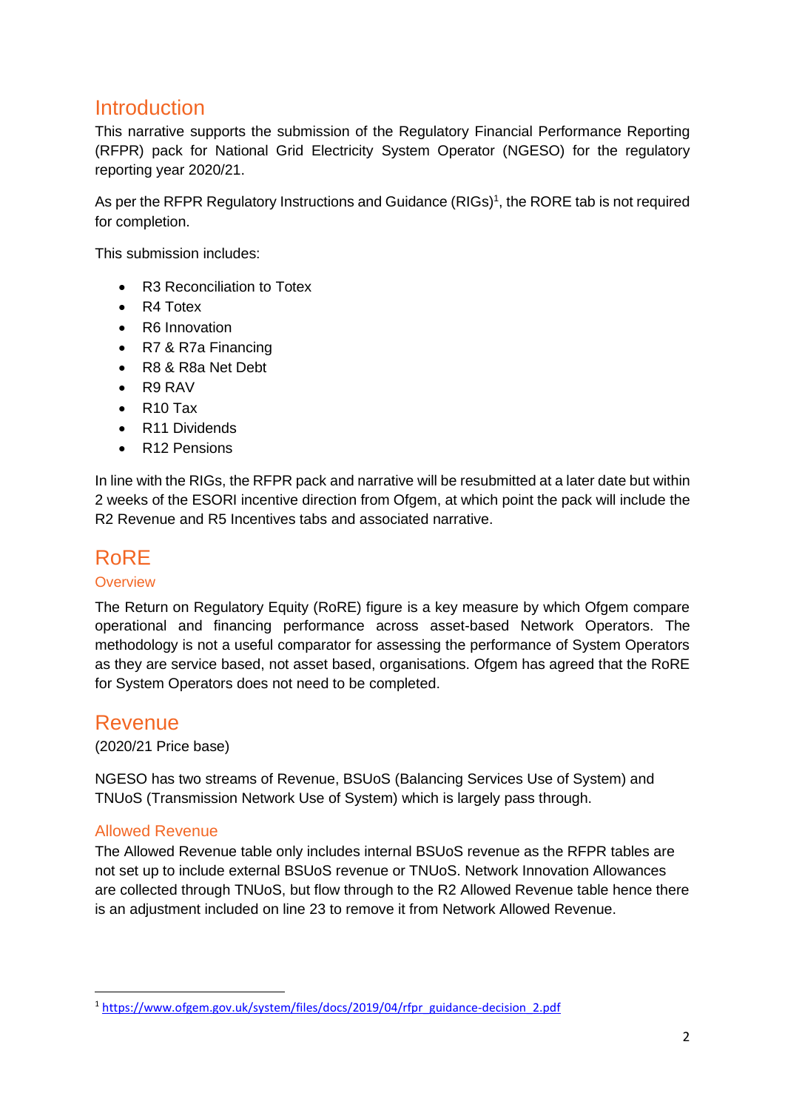## <span id="page-1-0"></span>**Introduction**

This narrative supports the submission of the Regulatory Financial Performance Reporting (RFPR) pack for National Grid Electricity System Operator (NGESO) for the regulatory reporting year 2020/21.

As per the RFPR Regulatory Instructions and Guidance (RIGs)<sup>1</sup>, the RORE tab is not required for completion.

This submission includes:

- R3 Reconciliation to Totex
- R4 Totex
- R6 Innovation
- R7 & R7a Financing
- R8 & R8a Net Debt
- R9 RAV
- R10 Tax
- R11 Dividends
- R12 Pensions

In line with the RIGs, the RFPR pack and narrative will be resubmitted at a later date but within 2 weeks of the ESORI incentive direction from Ofgem, at which point the pack will include the R2 Revenue and R5 Incentives tabs and associated narrative.

## <span id="page-1-1"></span>RoRE

#### **Overview**

The Return on Regulatory Equity (RoRE) figure is a key measure by which Ofgem compare operational and financing performance across asset-based Network Operators. The methodology is not a useful comparator for assessing the performance of System Operators as they are service based, not asset based, organisations. Ofgem has agreed that the RoRE for System Operators does not need to be completed.

## <span id="page-1-2"></span>Revenue

(2020/21 Price base)

NGESO has two streams of Revenue, BSUoS (Balancing Services Use of System) and TNUoS (Transmission Network Use of System) which is largely pass through.

#### <span id="page-1-3"></span>Allowed Revenue

The Allowed Revenue table only includes internal BSUoS revenue as the RFPR tables are not set up to include external BSUoS revenue or TNUoS. Network Innovation Allowances are collected through TNUoS, but flow through to the R2 Allowed Revenue table hence there is an adjustment included on line 23 to remove it from Network Allowed Revenue.

<sup>1</sup> [https://www.ofgem.gov.uk/system/files/docs/2019/04/rfpr\\_guidance-decision\\_2.pdf](https://www.ofgem.gov.uk/system/files/docs/2019/04/rfpr_guidance-decision_2.pdf)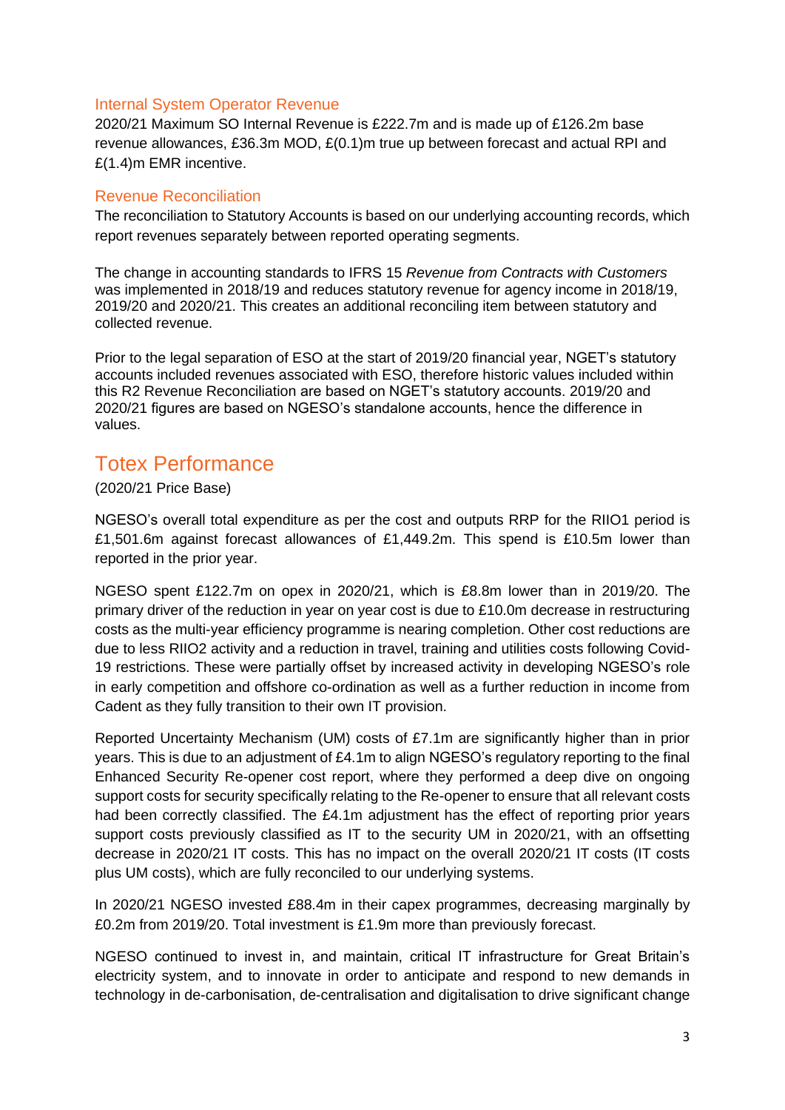#### <span id="page-2-0"></span>Internal System Operator Revenue

2020/21 Maximum SO Internal Revenue is £222.7m and is made up of £126.2m base revenue allowances, £36.3m MOD, £(0.1)m true up between forecast and actual RPI and £(1.4)m EMR incentive.

#### <span id="page-2-1"></span>Revenue Reconciliation

The reconciliation to Statutory Accounts is based on our underlying accounting records, which report revenues separately between reported operating segments.

The change in accounting standards to IFRS 15 *Revenue from Contracts with Customers* was implemented in 2018/19 and reduces statutory revenue for agency income in 2018/19, 2019/20 and 2020/21. This creates an additional reconciling item between statutory and collected revenue.

Prior to the legal separation of ESO at the start of 2019/20 financial year, NGET's statutory accounts included revenues associated with ESO, therefore historic values included within this R2 Revenue Reconciliation are based on NGET's statutory accounts. 2019/20 and 2020/21 figures are based on NGESO's standalone accounts, hence the difference in values.

## <span id="page-2-2"></span>Totex Performance

(2020/21 Price Base)

NGESO's overall total expenditure as per the cost and outputs RRP for the RIIO1 period is £1,501.6m against forecast allowances of £1,449.2m. This spend is £10.5m lower than reported in the prior year.

NGESO spent £122.7m on opex in 2020/21, which is £8.8m lower than in 2019/20. The primary driver of the reduction in year on year cost is due to £10.0m decrease in restructuring costs as the multi-year efficiency programme is nearing completion. Other cost reductions are due to less RIIO2 activity and a reduction in travel, training and utilities costs following Covid-19 restrictions. These were partially offset by increased activity in developing NGESO's role in early competition and offshore co-ordination as well as a further reduction in income from Cadent as they fully transition to their own IT provision.

Reported Uncertainty Mechanism (UM) costs of £7.1m are significantly higher than in prior years. This is due to an adjustment of £4.1m to align NGESO's regulatory reporting to the final Enhanced Security Re-opener cost report, where they performed a deep dive on ongoing support costs for security specifically relating to the Re-opener to ensure that all relevant costs had been correctly classified. The £4.1m adjustment has the effect of reporting prior years support costs previously classified as IT to the security UM in 2020/21, with an offsetting decrease in 2020/21 IT costs. This has no impact on the overall 2020/21 IT costs (IT costs plus UM costs), which are fully reconciled to our underlying systems.

In 2020/21 NGESO invested £88.4m in their capex programmes, decreasing marginally by £0.2m from 2019/20. Total investment is £1.9m more than previously forecast.

NGESO continued to invest in, and maintain, critical IT infrastructure for Great Britain's electricity system, and to innovate in order to anticipate and respond to new demands in technology in de-carbonisation, de-centralisation and digitalisation to drive significant change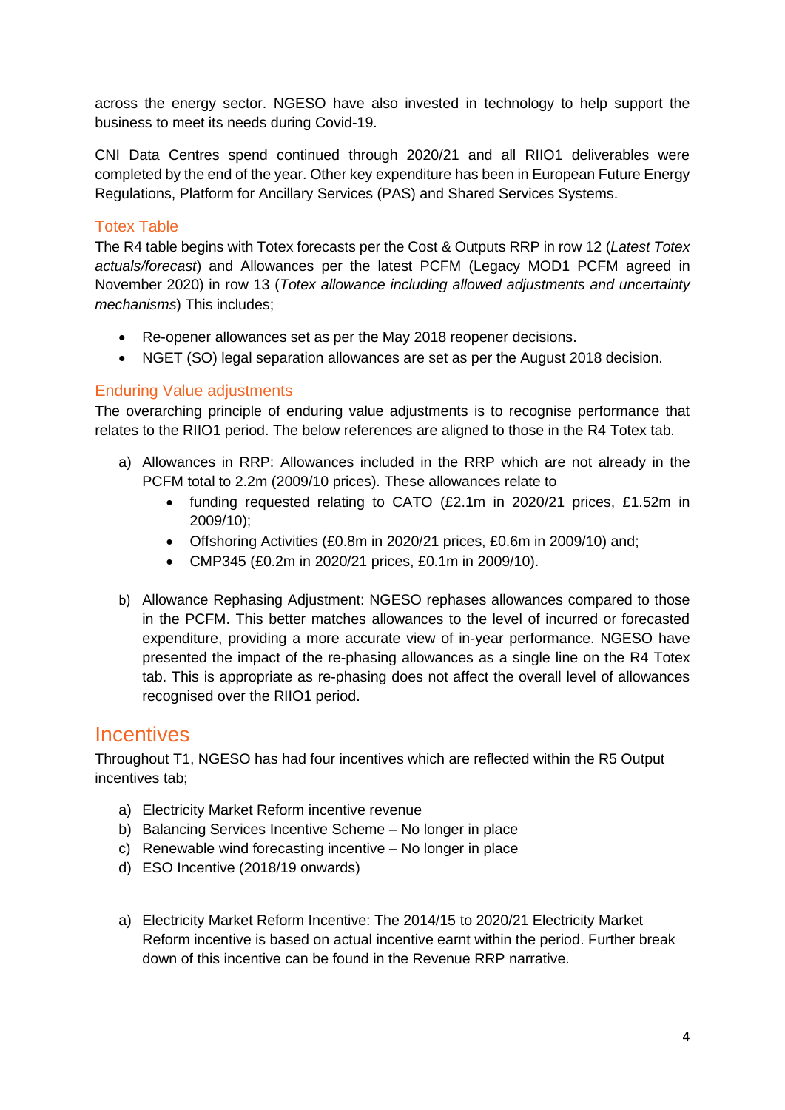across the energy sector. NGESO have also invested in technology to help support the business to meet its needs during Covid-19.

CNI Data Centres spend continued through 2020/21 and all RIIO1 deliverables were completed by the end of the year. Other key expenditure has been in European Future Energy Regulations, Platform for Ancillary Services (PAS) and Shared Services Systems.

### <span id="page-3-0"></span>Totex Table

The R4 table begins with Totex forecasts per the Cost & Outputs RRP in row 12 (*Latest Totex actuals/forecast*) and Allowances per the latest PCFM (Legacy MOD1 PCFM agreed in November 2020) in row 13 (*Totex allowance including allowed adjustments and uncertainty mechanisms*) This includes;

- Re-opener allowances set as per the May 2018 reopener decisions.
- NGET (SO) legal separation allowances are set as per the August 2018 decision.

#### <span id="page-3-1"></span>Enduring Value adjustments

The overarching principle of enduring value adjustments is to recognise performance that relates to the RIIO1 period. The below references are aligned to those in the R4 Totex tab.

- a) Allowances in RRP: Allowances included in the RRP which are not already in the PCFM total to 2.2m (2009/10 prices). These allowances relate to
	- funding requested relating to CATO (£2.1m in 2020/21 prices, £1.52m in 2009/10);
	- Offshoring Activities (£0.8m in 2020/21 prices, £0.6m in 2009/10) and;
	- CMP345 (£0.2m in 2020/21 prices, £0.1m in 2009/10).
- b) Allowance Rephasing Adjustment: NGESO rephases allowances compared to those in the PCFM. This better matches allowances to the level of incurred or forecasted expenditure, providing a more accurate view of in-year performance. NGESO have presented the impact of the re-phasing allowances as a single line on the R4 Totex tab. This is appropriate as re-phasing does not affect the overall level of allowances recognised over the RIIO1 period.

## <span id="page-3-2"></span>**Incentives**

Throughout T1, NGESO has had four incentives which are reflected within the R5 Output incentives tab;

- a) Electricity Market Reform incentive revenue
- b) Balancing Services Incentive Scheme No longer in place
- c) Renewable wind forecasting incentive No longer in place
- d) ESO Incentive (2018/19 onwards)
- a) Electricity Market Reform Incentive: The 2014/15 to 2020/21 Electricity Market Reform incentive is based on actual incentive earnt within the period. Further break down of this incentive can be found in the Revenue RRP narrative.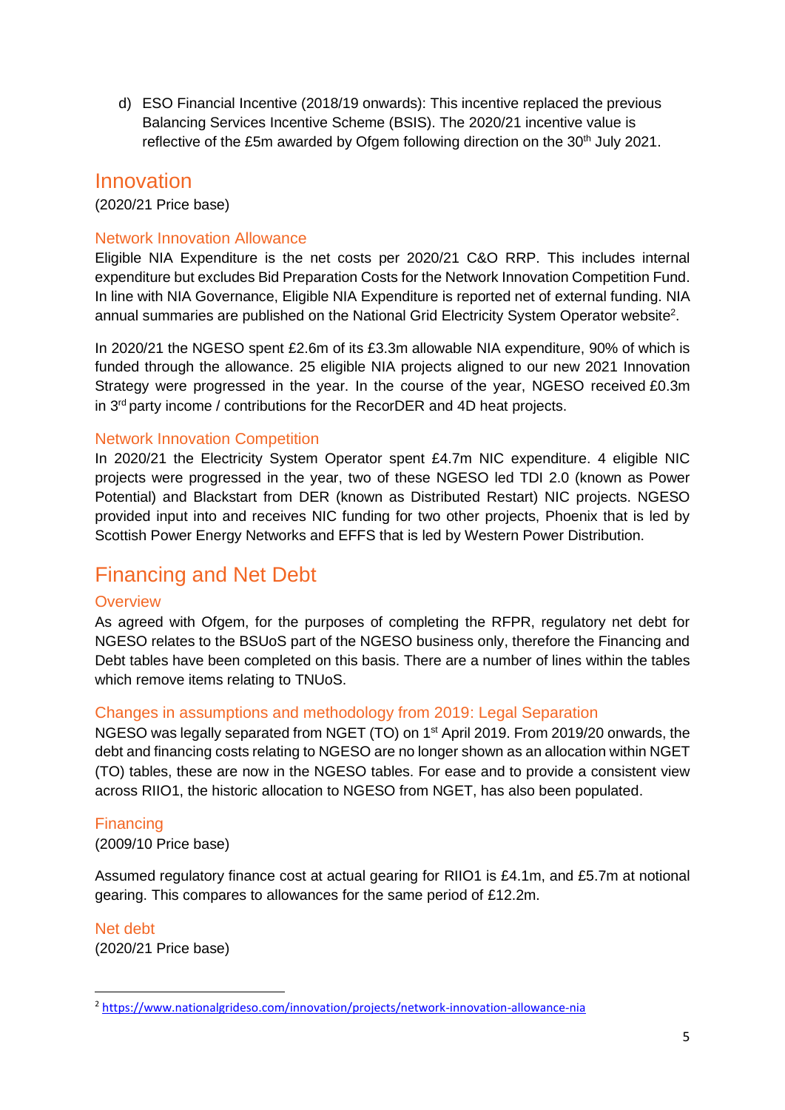d) ESO Financial Incentive (2018/19 onwards): This incentive replaced the previous Balancing Services Incentive Scheme (BSIS). The 2020/21 incentive value is reflective of the £5m awarded by Ofgem following direction on the 30<sup>th</sup> July 2021.

## <span id="page-4-0"></span>Innovation

(2020/21 Price base)

### <span id="page-4-1"></span>Network Innovation Allowance

Eligible NIA Expenditure is the net costs per 2020/21 C&O RRP. This includes internal expenditure but excludes Bid Preparation Costs for the Network Innovation Competition Fund. In line with NIA Governance, Eligible NIA Expenditure is reported net of external funding. NIA annual summaries are published on the National Grid Electricity System Operator website<sup>2</sup>.

In 2020/21 the NGESO spent £2.6m of its £3.3m allowable NIA expenditure, 90% of which is funded through the allowance. 25 eligible NIA projects aligned to our new 2021 Innovation Strategy were progressed in the year. In the course of the year, NGESO received £0.3m in 3<sup>rd</sup> party income / contributions for the RecorDER and 4D heat projects.

### <span id="page-4-2"></span>Network Innovation Competition

In 2020/21 the Electricity System Operator spent £4.7m NIC expenditure. 4 eligible NIC projects were progressed in the year, two of these NGESO led TDI 2.0 (known as Power Potential) and Blackstart from DER (known as Distributed Restart) NIC projects. NGESO provided input into and receives NIC funding for two other projects, Phoenix that is led by Scottish Power Energy Networks and EFFS that is led by Western Power Distribution.

## <span id="page-4-3"></span>Financing and Net Debt

#### <span id="page-4-4"></span>**Overview**

As agreed with Ofgem, for the purposes of completing the RFPR, regulatory net debt for NGESO relates to the BSUoS part of the NGESO business only, therefore the Financing and Debt tables have been completed on this basis. There are a number of lines within the tables which remove items relating to TNUoS.

#### <span id="page-4-5"></span>Changes in assumptions and methodology from 2019: Legal Separation

NGESO was legally separated from NGET (TO) on 1<sup>st</sup> April 2019. From 2019/20 onwards, the debt and financing costs relating to NGESO are no longer shown as an allocation within NGET (TO) tables, these are now in the NGESO tables. For ease and to provide a consistent view across RIIO1, the historic allocation to NGESO from NGET, has also been populated.

<span id="page-4-6"></span>Financing (2009/10 Price base)

Assumed regulatory finance cost at actual gearing for RIIO1 is £4.1m, and £5.7m at notional gearing. This compares to allowances for the same period of £12.2m.

<span id="page-4-7"></span>Net debt (2020/21 Price base)

<sup>2</sup> <https://www.nationalgrideso.com/innovation/projects/network-innovation-allowance-nia>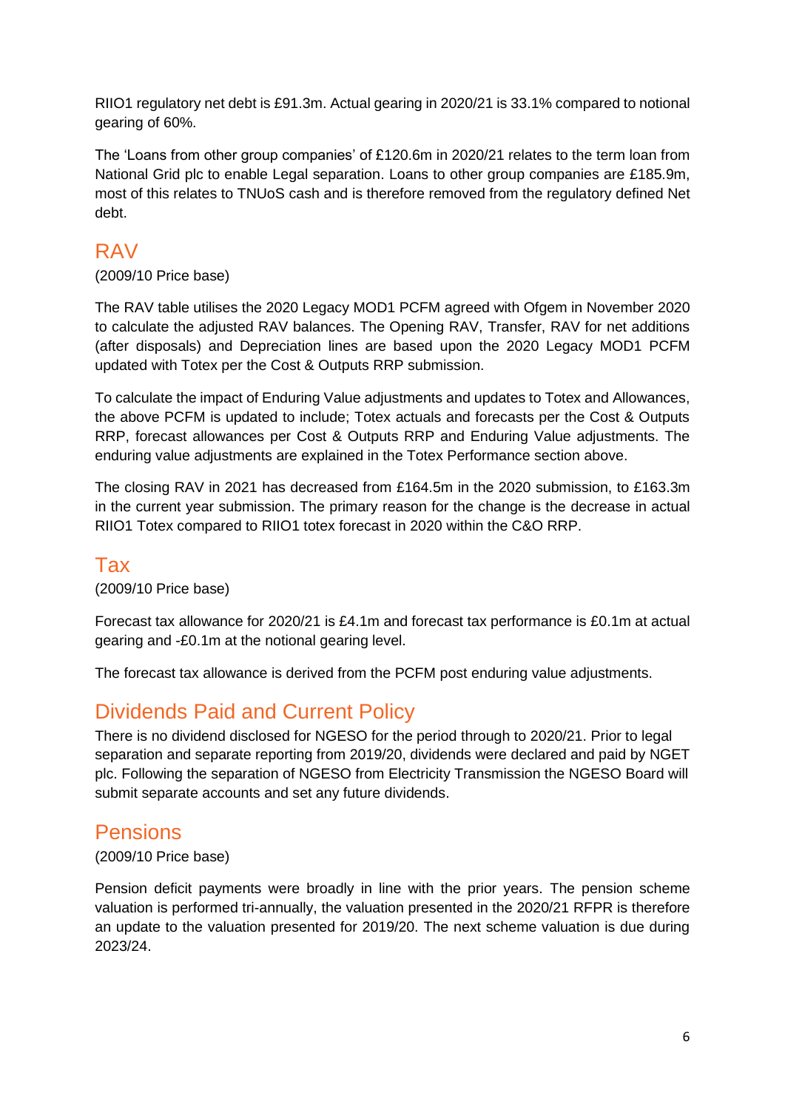RIIO1 regulatory net debt is £91.3m. Actual gearing in 2020/21 is 33.1% compared to notional gearing of 60%.

The 'Loans from other group companies' of £120.6m in 2020/21 relates to the term loan from National Grid plc to enable Legal separation. Loans to other group companies are £185.9m, most of this relates to TNUoS cash and is therefore removed from the regulatory defined Net debt.

## <span id="page-5-0"></span>RAV

(2009/10 Price base)

The RAV table utilises the 2020 Legacy MOD1 PCFM agreed with Ofgem in November 2020 to calculate the adjusted RAV balances. The Opening RAV, Transfer, RAV for net additions (after disposals) and Depreciation lines are based upon the 2020 Legacy MOD1 PCFM updated with Totex per the Cost & Outputs RRP submission.

To calculate the impact of Enduring Value adjustments and updates to Totex and Allowances, the above PCFM is updated to include; Totex actuals and forecasts per the Cost & Outputs RRP, forecast allowances per Cost & Outputs RRP and Enduring Value adjustments. The enduring value adjustments are explained in the Totex Performance section above.

The closing RAV in 2021 has decreased from £164.5m in the 2020 submission, to £163.3m in the current year submission. The primary reason for the change is the decrease in actual RIIO1 Totex compared to RIIO1 totex forecast in 2020 within the C&O RRP.

## <span id="page-5-1"></span>Tax

(2009/10 Price base)

Forecast tax allowance for 2020/21 is £4.1m and forecast tax performance is £0.1m at actual gearing and -£0.1m at the notional gearing level.

The forecast tax allowance is derived from the PCFM post enduring value adjustments.

# <span id="page-5-2"></span>Dividends Paid and Current Policy

There is no dividend disclosed for NGESO for the period through to 2020/21. Prior to legal separation and separate reporting from 2019/20, dividends were declared and paid by NGET plc. Following the separation of NGESO from Electricity Transmission the NGESO Board will submit separate accounts and set any future dividends.

# <span id="page-5-3"></span>Pensions

(2009/10 Price base)

Pension deficit payments were broadly in line with the prior years. The pension scheme valuation is performed tri-annually, the valuation presented in the 2020/21 RFPR is therefore an update to the valuation presented for 2019/20. The next scheme valuation is due during 2023/24.